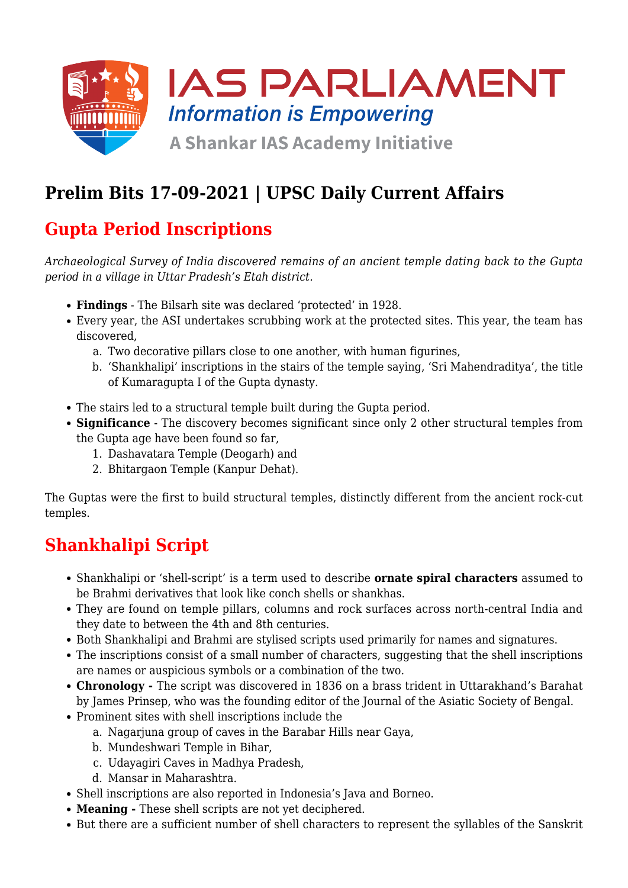

## **Prelim Bits 17-09-2021 | UPSC Daily Current Affairs**

## **Gupta Period Inscriptions**

*Archaeological Survey of India discovered remains of an ancient temple dating back to the Gupta period in a village in Uttar Pradesh's Etah district.*

- **Findings** The Bilsarh site was declared 'protected' in 1928.
- Every year, the ASI undertakes scrubbing work at the protected sites. This year, the team has discovered,
	- a. Two decorative pillars close to one another, with human figurines,
	- b. 'Shankhalipi' inscriptions in the stairs of the temple saying, 'Sri Mahendraditya', the title of Kumaragupta I of the Gupta dynasty.
- The stairs led to a structural temple built during the Gupta period.
- **Significance** The discovery becomes significant since only 2 other structural temples from the Gupta age have been found so far,
	- 1. Dashavatara Temple (Deogarh) and
	- 2. Bhitargaon Temple (Kanpur Dehat).

The Guptas were the first to build structural temples, distinctly different from the ancient rock-cut temples.

### **Shankhalipi Script**

- Shankhalipi or 'shell-script' is a term used to describe **ornate spiral characters** assumed to be Brahmi derivatives that look like conch shells or shankhas.
- They are found on temple pillars, columns and rock surfaces across north-central India and they date to between the 4th and 8th centuries.
- Both Shankhalipi and Brahmi are stylised scripts used primarily for names and signatures.
- The inscriptions consist of a small number of characters, suggesting that the shell inscriptions are names or auspicious symbols or a combination of the two.
- **Chronology** The script was discovered in 1836 on a brass trident in Uttarakhand's Barahat by James Prinsep, who was the founding editor of the Journal of the Asiatic Society of Bengal.
- Prominent sites with shell inscriptions include the
	- a. Nagarjuna group of caves in the Barabar Hills near Gaya,
	- b. Mundeshwari Temple in Bihar,
	- c. Udayagiri Caves in Madhya Pradesh,
	- d. Mansar in Maharashtra.
- Shell inscriptions are also reported in Indonesia's Java and Borneo.
- **Meaning** These shell scripts are not yet deciphered.
- But there are a sufficient number of shell characters to represent the syllables of the Sanskrit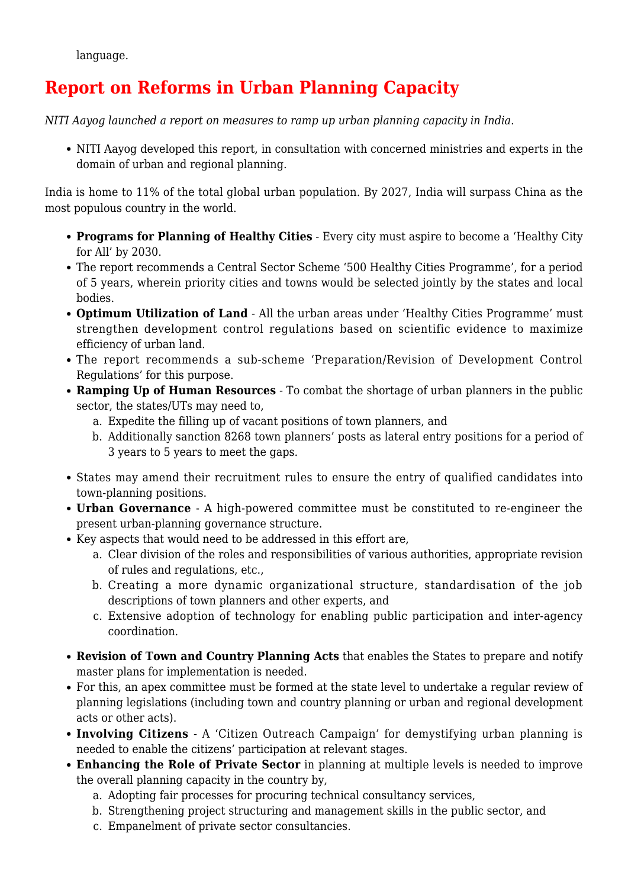language.

### **Report on Reforms in Urban Planning Capacity**

*NITI Aayog launched a report on measures to ramp up urban planning capacity in India.*

NITI Aayog developed this report, in consultation with concerned ministries and experts in the domain of urban and regional planning.

India is home to 11% of the total global urban population. By 2027, India will surpass China as the most populous country in the world.

- **Programs for Planning of Healthy Cities** Every city must aspire to become a 'Healthy City for All' by 2030.
- The report recommends a Central Sector Scheme '500 Healthy Cities Programme', for a period of 5 years, wherein priority cities and towns would be selected jointly by the states and local bodies.
- **Optimum Utilization of Land** All the urban areas under 'Healthy Cities Programme' must strengthen development control regulations based on scientific evidence to maximize efficiency of urban land.
- The report recommends a sub-scheme 'Preparation/Revision of Development Control Regulations' for this purpose.
- **Ramping Up of Human Resources** To combat the shortage of urban planners in the public sector, the states/UTs may need to,
	- a. Expedite the filling up of vacant positions of town planners, and
	- b. Additionally sanction 8268 town planners' posts as lateral entry positions for a period of 3 years to 5 years to meet the gaps.
- States may amend their recruitment rules to ensure the entry of qualified candidates into town-planning positions.
- **Urban Governance** A high-powered committee must be constituted to re-engineer the present urban-planning governance structure.
- Key aspects that would need to be addressed in this effort are,
	- a. Clear division of the roles and responsibilities of various authorities, appropriate revision of rules and regulations, etc.,
	- b. Creating a more dynamic organizational structure, standardisation of the job descriptions of town planners and other experts, and
	- c. Extensive adoption of technology for enabling public participation and inter-agency coordination.
- **Revision of Town and Country Planning Acts** that enables the States to prepare and notify master plans for implementation is needed.
- For this, an apex committee must be formed at the state level to undertake a regular review of planning legislations (including town and country planning or urban and regional development acts or other acts).
- **Involving Citizens**  A 'Citizen Outreach Campaign' for demystifying urban planning is needed to enable the citizens' participation at relevant stages.
- **Enhancing the Role of Private Sector** in planning at multiple levels is needed to improve the overall planning capacity in the country by,
	- a. Adopting fair processes for procuring technical consultancy services,
	- b. Strengthening project structuring and management skills in the public sector, and
	- c. Empanelment of private sector consultancies.